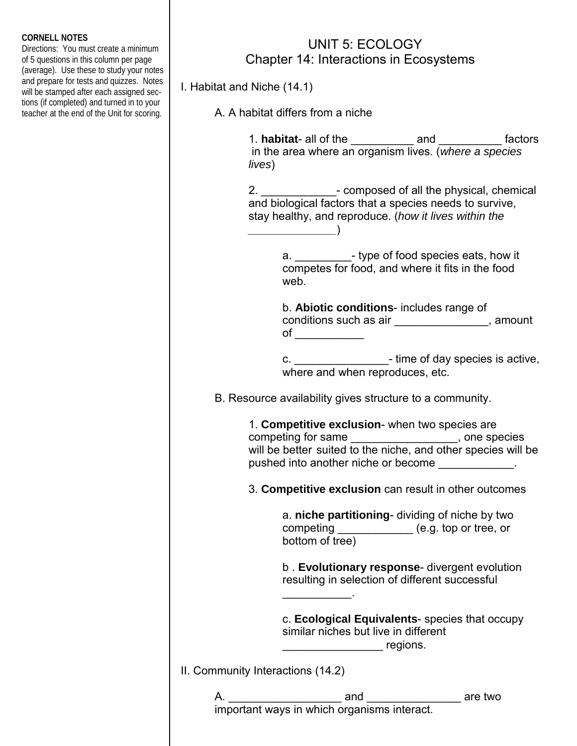## **CORNELL NOTES**

Directions: You must create a minimum of 5 questions in this column per page (average). Use these to study your notes and prepare for tests and quizzes. Notes will be stamped after each assigned sections (if completed) and turned in to your teacher at the end of the Unit for scoring.

## UNIT 5: ECOLOGY Chapter 14: Interactions in Ecosystems

I. Habitat and Niche (14.1)

A. A habitat differs from a niche

 $\qquad \qquad$ 

 1. **habitat**- all of the \_\_\_\_\_\_\_\_\_\_ and \_\_\_\_\_\_\_\_\_\_ factors in the area where an organism lives. (*where a species lives*)

 2. \_\_\_\_\_\_\_\_\_\_\_\_- composed of all the physical, chemical and biological factors that a species needs to survive, stay healthy, and reproduce. (*how it lives within the* 

> a.  $\blacksquare$  - type of food species eats, how it competes for food, and where it fits in the food web.

 b. **Abiotic conditions**- includes range of conditions such as air \_\_\_\_\_\_\_\_\_\_\_\_\_\_\_, amount of \_\_\_\_\_\_\_\_\_\_\_

 c. \_\_\_\_\_\_\_\_\_\_\_\_\_\_\_- time of day species is active, where and when reproduces, etc.

B. Resource availability gives structure to a community.

 1. **Competitive exclusion**- when two species are competing for same \_\_\_\_\_\_\_\_\_\_\_\_\_\_\_\_\_, one species will be better suited to the niche, and other species will be pushed into another niche or become \_\_\_\_\_\_\_\_\_\_\_\_.

3. **Competitive exclusion** can result in other outcomes

 a. **niche partitioning**- dividing of niche by two competing \_\_\_\_\_\_\_\_\_\_\_\_\_ (e.g. top or tree, or bottom of tree)

 b . **Evolutionary response**- divergent evolution resulting in selection of different successful

 c. **Ecological Equivalents**- species that occupy similar niches but live in different  $r = \frac{1}{2}$  regions.

II. Community Interactions (14.2)

\_\_\_\_\_\_\_\_\_\_\_.

 A. \_\_\_\_\_\_\_\_\_\_\_\_\_\_\_\_\_\_ and \_\_\_\_\_\_\_\_\_\_\_\_\_\_\_ are two important ways in which organisms interact.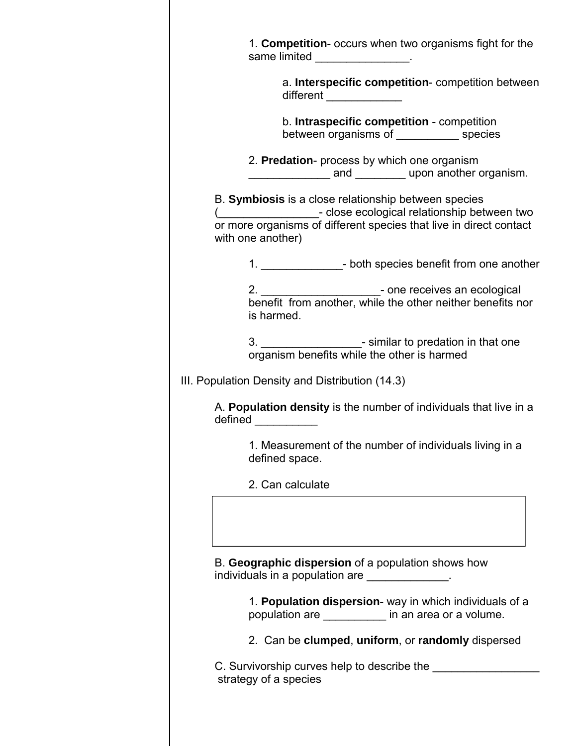| same limited _________________.                                                                                                                                                                                 |
|-----------------------------------------------------------------------------------------------------------------------------------------------------------------------------------------------------------------|
| a. Interspecific competition- competition between<br>different ______________                                                                                                                                   |
| b. Intraspecific competition - competition<br>between organisms of ____________ species                                                                                                                         |
| 2. Predation- process by which one organism<br>and upon another organism.                                                                                                                                       |
| B. Symbiosis is a close relationship between species<br>( <b>COLOGICAL</b> Close ecological relationship between two<br>or more organisms of different species that live in direct contact<br>with one another) |
| 1. __________________- both species benefit from one another                                                                                                                                                    |
| ___________________- one receives an ecological<br>2. $\qquad \qquad \boxed{\qquad \qquad }$<br>benefit from another, while the other neither benefits nor<br>is harmed.                                        |
| 3. _____________________- similar to predation in that one<br>organism benefits while the other is harmed                                                                                                       |
|                                                                                                                                                                                                                 |
| III. Population Density and Distribution (14.3)                                                                                                                                                                 |
| A. Population density is the number of individuals that live in a<br>defined _________                                                                                                                          |
| 1. Measurement of the number of individuals living in a<br>defined space.                                                                                                                                       |
| 2. Can calculate                                                                                                                                                                                                |
| B. Geographic dispersion of a population shows how                                                                                                                                                              |
| individuals in a population are _____________.                                                                                                                                                                  |
| 1. Population dispersion- way in which individuals of a<br>population are ___________ in an area or a volume.                                                                                                   |
| 2. Can be clumped, uniform, or randomly dispersed                                                                                                                                                               |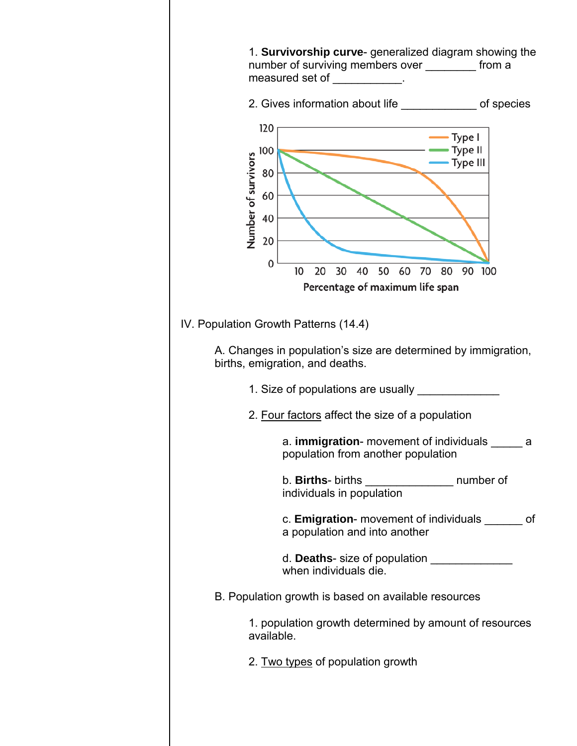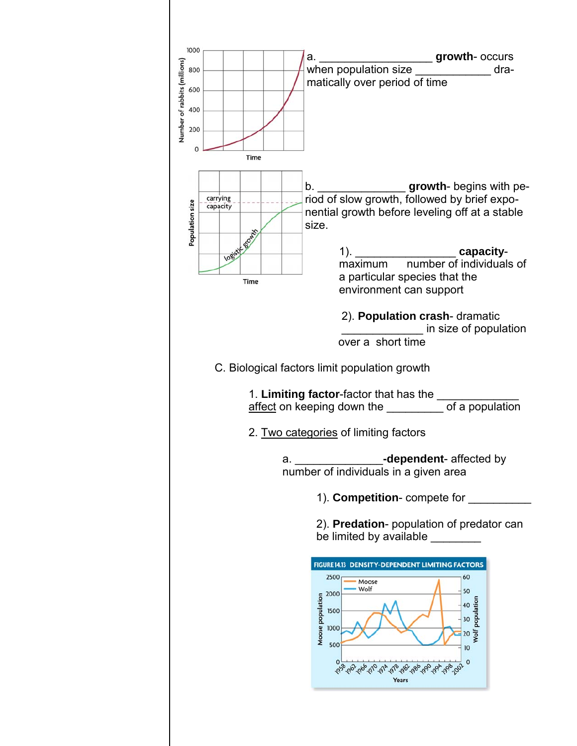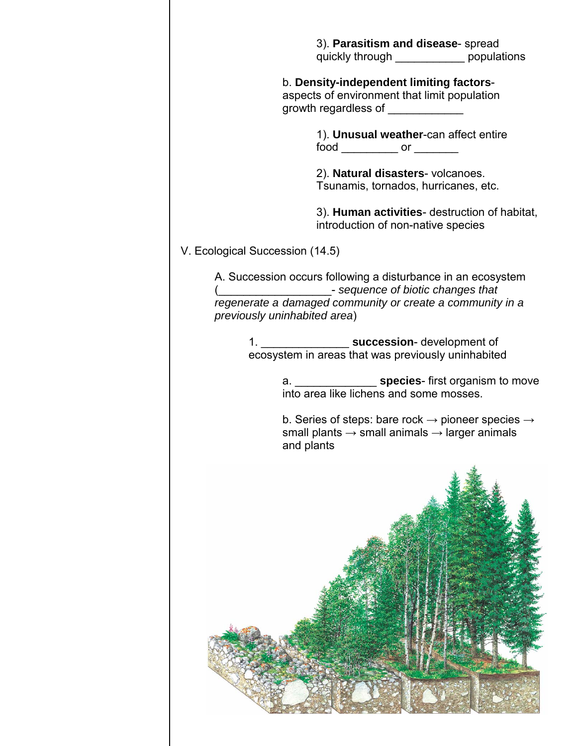| 3). Parasitism and disease-spread<br>quickly through bopulations                                                                                                                                                                                                   |
|--------------------------------------------------------------------------------------------------------------------------------------------------------------------------------------------------------------------------------------------------------------------|
| b. Density-independent limiting factors-<br>aspects of environment that limit population<br>growth regardless of ____________                                                                                                                                      |
| 1). Unusual weather-can affect entire<br>food or                                                                                                                                                                                                                   |
| 2). Natural disasters-volcanoes.<br>Tsunamis, tornados, hurricanes, etc.                                                                                                                                                                                           |
| 3). Human activities- destruction of habitat,<br>introduction of non-native species                                                                                                                                                                                |
| V. Ecological Succession (14.5)                                                                                                                                                                                                                                    |
| A. Succession occurs following a disturbance in an ecosystem<br>( <b>Confidence of biotic changes that</b> $\overline{\phantom{a}}$ - sequence of biotic changes that<br>regenerate a damaged community or create a community in a<br>previously uninhabited area) |
| 1. ____________________ succession- development of<br>ecosystem in areas that was previously uninhabited                                                                                                                                                           |
| into area like lichens and some mosses.                                                                                                                                                                                                                            |
| b. Series of steps: bare rock $\rightarrow$ pioneer species $\rightarrow$<br>small plants $\rightarrow$ small animals $\rightarrow$ larger animals                                                                                                                 |
| and plants                                                                                                                                                                                                                                                         |